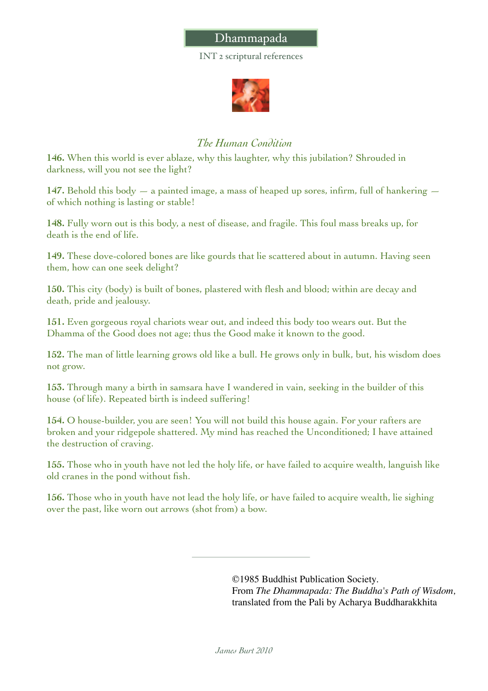## Dhammapada

INT 2 scriptural references



## *The Human Condition*

**146.** When this world is ever ablaze, why this laughter, why this jubilation? Shrouded in darkness, will you not see the light?

**147.** Behold this body — a painted image, a mass of heaped up sores, infirm, full of hankering of which nothing is lasting or stable!

**148.** Fully worn out is this body, a nest of disease, and fragile. This foul mass breaks up, for death is the end of life.

**149.** These dove-colored bones are like gourds that lie scattered about in autumn. Having seen them, how can one seek delight?

**150.** This city (body) is built of bones, plastered with flesh and blood; within are decay and death, pride and jealousy.

**151.** Even gorgeous royal chariots wear out, and indeed this body too wears out. But the Dhamma of the Good does not age; thus the Good make it known to the good.

**152.** The man of little learning grows old like a bull. He grows only in bulk, but, his wisdom does not grow.

**153.** Through many a birth in samsara have I wandered in vain, seeking in the builder of this house (of life). Repeated birth is indeed suffering!

**154.** O house-builder, you are seen! You will not build this house again. For your rafters are broken and your ridgepole shattered. My mind has reached the Unconditioned; I have attained the destruction of craving.

**155.** Those who in youth have not led the holy life, or have failed to acquire wealth, languish like old cranes in the pond without fish.

**156.** Those who in youth have not lead the holy life, or have failed to acquire wealth, lie sighing over the past, like worn out arrows (shot from) a bow.

> ©1985 Buddhist Publication Society. From *The Dhammapada: The Buddha's Path of Wisdom,* translated from the Pali by Acharya Buddharakkhita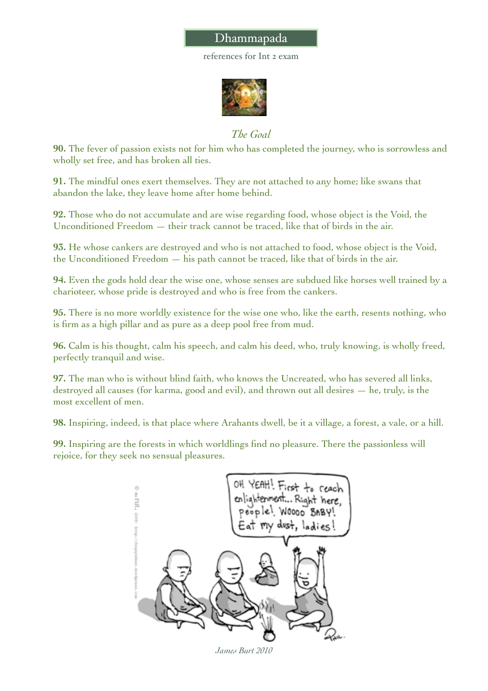## Dhammapada

references for Int 2 exam



*The Goal*

**90.** The fever of passion exists not for him who has completed the journey, who is sorrowless and wholly set free, and has broken all ties.

**91.** The mindful ones exert themselves. They are not attached to any home; like swans that abandon the lake, they leave home after home behind.

**92.** Those who do not accumulate and are wise regarding food, whose object is the Void, the Unconditioned Freedom  $-$  their track cannot be traced, like that of birds in the air.

**93.** He whose cankers are destroyed and who is not attached to food, whose object is the Void, the Unconditioned Freedom — his path cannot be traced, like that of birds in the air.

**94.** Even the gods hold dear the wise one, whose senses are subdued like horses well trained by a charioteer, whose pride is destroyed and who is free from the cankers.

**95.** There is no more worldly existence for the wise one who, like the earth, resents nothing, who is firm as a high pillar and as pure as a deep pool free from mud.

**96.** Calm is his thought, calm his speech, and calm his deed, who, truly knowing, is wholly freed, perfectly tranquil and wise.

**97.** The man who is without blind faith, who knows the Uncreated, who has severed all links, destroyed all causes (for karma, good and evil), and thrown out all desires — he, truly, is the most excellent of men.

**98.** Inspiring, indeed, is that place where Arahants dwell, be it a village, a forest, a vale, or a hill.

**99.** Inspiring are the forests in which worldlings find no pleasure. There the passionless will rejoice, for they seek no sensual pleasures.



*James Burt 2010*